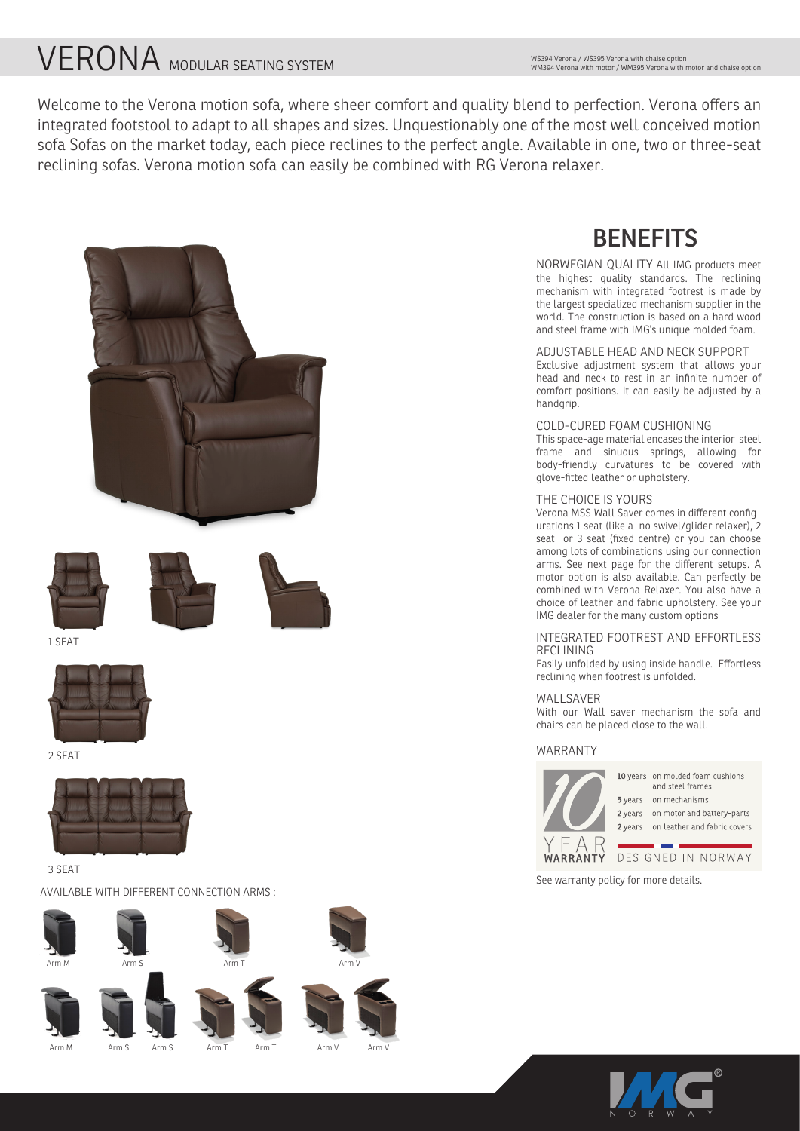# **VERONA** MODULAR SEATING SYSTEM

Welcome to the Verona motion sofa, where sheer comfort and quality blend to perfection. Verona offers an integrated footstool to adapt to all shapes and sizes. Unquestionably one of the most well conceived motion sofa Sofas on the market today, each piece reclines to the perfect angle. Available in one, two or three-seat reclining sofas. Verona motion sofa can easily be combined with RG Verona relaxer.





AVAILABLE WITH DIFFERENT CONNECTION ARMS :







Arm S Arm S







Arm V Arm V

### **BENEFITS**

NORWEGIAN QUALITY All IMG products meet the highest quality standards. The reclining mechanism with integrated footrest is made by the largest specialized mechanism supplier in the world. The construction is based on a hard wood and steel frame with IMG's unique molded foam.

#### ADJUSTABLE HEAD AND NECK SUPPORT

Exclusive adjustment system that allows your head and neck to rest in an infinite number of comfort positions. It can easily be adjusted by a handgrip.

#### COLD-CURED FOAM CUSHIONING

This space-age material encases the interior steel frame and sinuous springs, allowing for body-friendly curvatures to be covered with glove-fitted leather or upholstery.

#### THE CHOICE IS YOURS

Verona MSS Wall Saver comes in different configurations 1 seat (like a no swivel/glider relaxer), 2 seat or 3 seat (fixed centre) or you can choose among lots of combinations using our connection arms. See next page for the different setups. A motor option is also available. Can perfectly be combined with Verona Relaxer. You also have a choice of leather and fabric upholstery. See your IMG dealer for the many custom options

#### INTEGRATED FOOTREST AND EFFORTLESS **RECLINING**

Easily unfolded by using inside handle. Effortless reclining when footrest is unfolded.

#### WAI I SAVFR

With our Wall saver mechanism the sofa and chairs can be placed close to the wall.

#### WARRANTY



10 years on molded foam cushions and steel frames 5 years on mechanisms

2 years on motor and battery-parts 2 years on leather and fabric covers

#### WARRANTY DESIGNED IN NORWAY

See warranty policy for more details.



Arm M